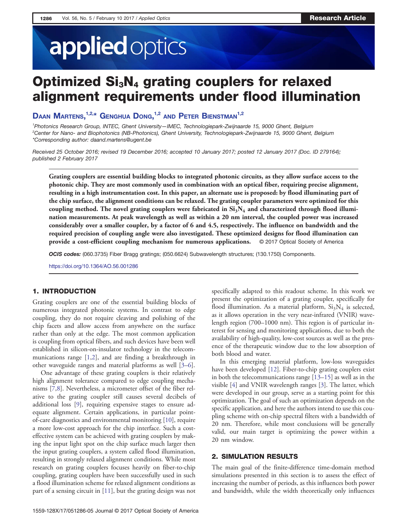# applied optics

## Optimized Si<sub>3</sub>N<sub>4</sub> grating couplers for relaxed alignment requirements under flood illumination

DAAN IVIARTENS, <sup>new</sup> GENGHUA DONG, <sup>ne</sup> AND PETER BIENSTMAN <sup>ne</sup><br><sup>1</sup>Photonics Research Group, INTEC, Ghent University—IMEC, Technologiepark-Zwijnaarde 15, 9000 Ghent, Belgium 2 Center for Nano- and Biophotonics (NB-Photonics), Ghent University, Technologiepark-Zwijnaarde 15, 9000 Ghent, Belgium \*Corresponding author: [daand.martens@ugent.be](mailto:daand.martens@ugent.be)

Received 25 October 2016; revised 19 December 2016; accepted 10 January 2017; posted 12 January 2017 (Doc. ID 279164); published 2 February 2017

Grating couplers are essential building blocks to integrated photonic circuits, as they allow surface access to the photonic chip. They are most commonly used in combination with an optical fiber, requiring precise alignment, resulting in a high instrumentation cost. In this paper, an alternate use is proposed: by flood illuminating part of the chip surface, the alignment conditions can be relaxed. The grating coupler parameters were optimized for this coupling method. The novel grating couplers were fabricated in  $Si<sub>3</sub>N<sub>4</sub>$  and characterized through flood illumination measurements. At peak wavelength as well as within a 20 nm interval, the coupled power was increased considerably over a smaller coupler, by a factor of 6 and 4.5, respectively. The influence on bandwidth and the required precision of coupling angle were also investigated. These optimized designs for flood illumination can provide a cost-efficient coupling mechanism for numerous applications. © 2017 Optical Society of America

OCIS codes: (060.3735) Fiber Bragg gratings; (050.6624) Subwavelength structures; (130.1750) Components.

<https://doi.org/10.1364/AO.56.001286>

#### 1. INTRODUCTION

Grating couplers are one of the essential building blocks of numerous integrated photonic systems. In contrast to edge coupling, they do not require cleaving and polishing of the chip facets and allow access from anywhere on the surface rather than only at the edge. The most common application is coupling from optical fibers, and such devices have been well established in silicon-on-insulator technology in the telecommunications range [[1,2](#page-3-0)], and are finding a breakthrough in other waveguide ranges and material platforms as well [[3](#page-3-0)–[6\]](#page-4-0).

One advantage of these grating couplers is their relatively high alignment tolerance compared to edge coupling mechanisms [\[7](#page-4-0),[8\]](#page-4-0). Nevertheless, a micrometer offset of the fiber relative to the grating coupler still causes several decibels of additional loss [\[9](#page-4-0)], requiring expensive stages to ensure adequate alignment. Certain applications, in particular pointof-care diagnostics and environmental monitoring [\[10](#page-4-0)], require a more low-cost approach for the chip interface. Such a costeffective system can be achieved with grating couplers by making the input light spot on the chip surface much larger then the input grating couplers, a system called flood illumination, resulting in strongly relaxed alignment conditions. While most research on grating couplers focuses heavily on fiber-to-chip coupling, grating couplers have been successfully used in such a flood illumination scheme for relaxed alignment conditions as part of a sensing circuit in [[11\]](#page-4-0), but the grating design was not specifically adapted to this readout scheme. In this work we present the optimization of a grating coupler, specifically for flood illumination. As a material platform,  $Si<sub>3</sub>N<sub>4</sub>$  is selected, as it allows operation in the very near-infrared (VNIR) wavelength region (700–1000 nm). This region is of particular interest for sensing and monitoring applications, due to both the availability of high-quality, low-cost sources as well as the presence of the therapeutic window due to the low absorption of both blood and water.

In this emerging material platform, low-loss waveguides have been developed [\[12](#page-4-0)]. Fiber-to-chip grating couplers exist in both the telecommunications range [[13](#page-4-0)–[15\]](#page-4-0) as well as in the visible [[4\]](#page-3-0) and VNIR wavelength ranges [\[3](#page-3-0)]. The latter, which were developed in our group, serve as a starting point for this optimization. The goal of such an optimization depends on the specific application, and here the authors intend to use this coupling scheme with on-chip spectral filters with a bandwidth of 20 nm. Therefore, while most conclusions will be generally valid, our main target is optimizing the power within a 20 nm window.

#### 2. SIMULATION RESULTS

The main goal of the finite-difference time-domain method simulations presented in this section is to assess the effect of increasing the number of periods, as this influences both power and bandwidth, while the width theoretically only influences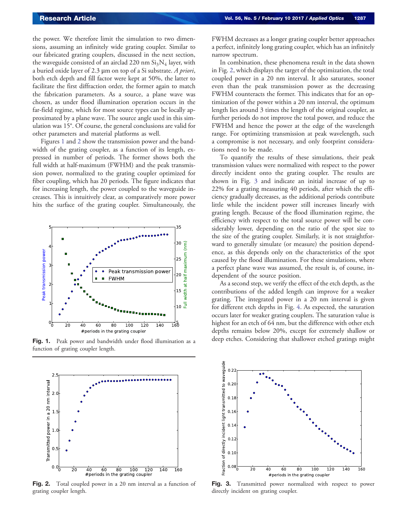<span id="page-1-0"></span>the power. We therefore limit the simulation to two dimensions, assuming an infinitely wide grating coupler. Similar to our fabricated grating couplers, discussed in the next section, the waveguide consisted of an airclad 220 nm  $Si<sub>3</sub>N<sub>4</sub>$  layer, with a buried oxide layer of 2.3  $\mu$ m on top of a Si substrate. A priori, both etch depth and fill factor were kept at 50%, the latter to facilitate the first diffraction order, the former again to match the fabrication parameters. As a source, a plane wave was chosen, as under flood illumination operation occurs in the far-field regime, which for most source types can be locally approximated by a plane wave. The source angle used in this simulation was 15°. Of course, the general conclusions are valid for other parameters and material platforms as well.

Figures 1 and 2 show the transmission power and the bandwidth of the grating coupler, as a function of its length, expressed in number of periods. The former shows both the full width at half-maximum (FWHM) and the peak transmission power, normalized to the grating coupler optimized for fiber coupling, which has 20 periods. The figure indicates that for increasing length, the power coupled to the waveguide increases. This is intuitively clear, as comparatively more power hits the surface of the grating coupler. Simultaneously, the



Fig. 1. Peak power and bandwidth under flood illumination as a function of grating coupler length.



Fig. 2. Total coupled power in a 20 nm interval as a function of grating coupler length.

FWHM decreases as a longer grating coupler better approaches a perfect, infinitely long grating coupler, which has an infinitely narrow spectrum.

In combination, these phenomena result in the data shown in Fig. 2, which displays the target of the optimization, the total coupled power in a 20 nm interval. It also saturates, sooner even than the peak transmission power as the decreasing FWHM counteracts the former. This indicates that for an optimization of the power within a 20 nm interval, the optimum length lies around 3 times the length of the original coupler, as further periods do not improve the total power, and reduce the FWHM and hence the power at the edge of the wavelength range. For optimizing transmission at peak wavelength, such a compromise is not necessary, and only footprint considerations need to be made.

To quantify the results of these simulations, their peak transmission values were normalized with respect to the power directly incident onto the grating coupler. The results are shown in Fig. 3 and indicate an initial increase of up to 22% for a grating measuring 40 periods, after which the efficiency gradually decreases, as the additional periods contribute little while the incident power still increases linearly with grating length. Because of the flood illumination regime, the efficiency with respect to the total source power will be considerably lower, depending on the ratio of the spot size to the size of the grating coupler. Similarly, it is not straightforward to generally simulate (or measure) the position dependence, as this depends only on the characteristics of the spot caused by the flood illumination. For these simulations, where a perfect plane wave was assumed, the result is, of course, independent of the source position.

As a second step, we verify the effect of the etch depth, as the contributions of the added length can improve for a weaker grating. The integrated power in a 20 nm interval is given for different etch depths in Fig. [4](#page-2-0). As expected, the saturation occurs later for weaker grating couplers. The saturation value is highest for an etch of 64 nm, but the difference with other etch depths remains below 20%, except for extremely shallow or deep etches. Considering that shallower etched gratings might



Fig. 3. Transmitted power normalized with respect to power directly incident on grating coupler.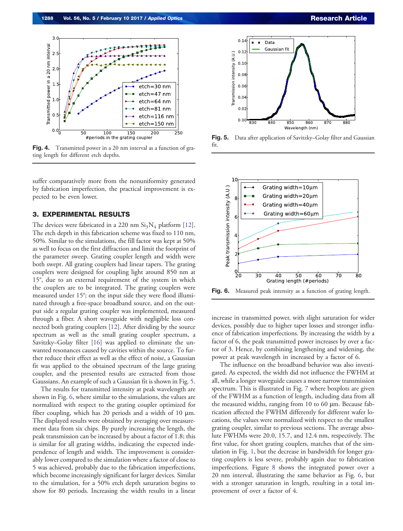<span id="page-2-0"></span>

**Fig. 4.** Transmitted power in a 20 nm interval as a function of grating length for different etch depths.

suffer comparatively more from the nonuniformity generated by fabrication imperfection, the practical improvement is expected to be even lower.

### 3. EXPERIMENTAL RESULTS

The devices were fabricated in a 220 nm  $Si<sub>3</sub>N<sub>4</sub>$  platform [\[12](#page-4-0)]. The etch depth in this fabrication scheme was fixed to 110 nm, 50%. Similar to the simulations, the fill factor was kept at 50% as well to focus on the first diffraction and limit the footprint of the parameter sweep. Grating coupler length and width were both swept. All grating couplers had linear tapers. The grating couplers were designed for coupling light around 850 nm at 15°, due to an external requirement of the system in which the couplers are to be integrated. The grating couplers were measured under 15°; on the input side they were flood illuminated through a free-space broadband source, and on the output side a regular grating coupler was implemented, measured through a fiber. A short waveguide with negligible loss connected both grating couplers [\[12](#page-4-0)]. After dividing by the source spectrum as well as the small grating coupler spectrum, a Savitzky–Golay filter [\[16](#page-4-0)] was applied to eliminate the unwanted resonances caused by cavities within the source. To further reduce their effect as well as the effect of noise, a Gaussian fit was applied to the obtained spectrum of the large grating coupler, and the presented results are extracted from those Gaussians. An example of such a Gaussian fit is shown in Fig. 5.

The results for transmitted intensity at peak wavelength are shown in Fig. 6, where similar to the simulations, the values are normalized with respect to the grating coupler optimized for fiber coupling, which has 20 periods and a width of 10 μm. The displayed results were obtained by averaging over measurement data from six chips. By purely increasing the length, the peak transmission can be increased by about a factor of 1.8; this is similar for all grating widths, indicating the expected independence of length and width. The improvement is considerably lower compared to the simulation where a factor of close to 5 was achieved, probably due to the fabrication imperfections, which become increasingly significant for larger devices. Similar to the simulation, for a 50% etch depth saturation begins to show for 80 periods. Increasing the width results in a linear



Fig. 5. Data after application of Savitzky–Golay filter and Gaussian fit.



Fig. 6. Measured peak intensity as a function of grating length.

increase in transmitted power, with slight saturation for wider devices, possibly due to higher taper losses and stronger influence of fabrication imperfections. By increasing the width by a factor of 6, the peak transmitted power increases by over a factor of 3. Hence, by combining lengthening and widening, the power at peak wavelength in increased by a factor of 6.

The influence on the broadband behavior was also investigated. As expected, the width did not influence the FWHM at all, while a longer waveguide causes a more narrow transmission spectrum. This is illustrated in Fig. [7](#page-3-0) where boxplots are given of the FWHM as a function of length, including data from all the measured widths, ranging from 10 to 60 μm. Because fabrication affected the FWHM differently for different wafer locations, the values were normalized with respect to the smallest grating coupler, similar to previous sections. The average absolute FWHMs were 20.0, 15.7, and 12.4 nm, respectively. The first value, for short grating couplers, matches that of the simulation in Fig. [1](#page-1-0), but the decrease in bandwidth for longer grating couplers is less severe, probably again due to fabrication imperfections. Figure [8](#page-3-0) shows the integrated power over a 20 nm interval, illustrating the same behavior as Fig. 6, but with a stronger saturation in length, resulting in a total improvement of over a factor of 4.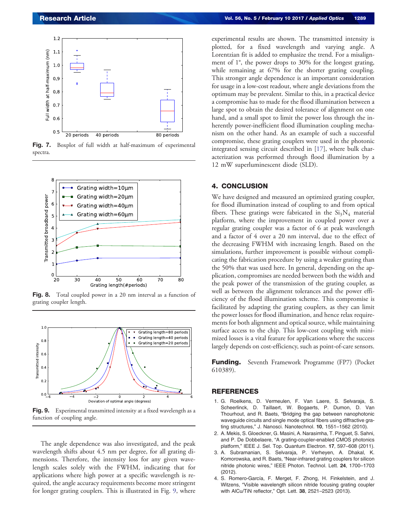<span id="page-3-0"></span>

Fig. 7. Boxplot of full width at half-maximum of experimental spectra.



Fig. 8. Total coupled power in a 20 nm interval as a function of grating coupler length.



Fig. 9. Experimental transmitted intensity at a fixed wavelength as a function of coupling angle.

The angle dependence was also investigated, and the peak wavelength shifts about 4.5 nm per degree, for all grating dimensions. Therefore, the intensity loss for any given wavelength scales solely with the FWHM, indicating that for applications where high power at a specific wavelength is required, the angle accuracy requirements become more stringent for longer grating couplers. This is illustrated in Fig. 9, where

experimental results are shown. The transmitted intensity is plotted, for a fixed wavelength and varying angle. A Lorentzian fit is added to emphasize the trend. For a misalignment of 1°, the power drops to 30% for the longest grating, while remaining at 67% for the shorter grating coupling. This stronger angle dependence is an important consideration for usage in a low-cost readout, where angle deviations from the optimum may be prevalent. Similar to this, in a practical device a compromise has to made for the flood illumination between a large spot to obtain the desired tolerance of alignment on one hand, and a small spot to limit the power loss through the inherently power-inefficient flood illumination coupling mechanism on the other hand. As an example of such a successful compromise, these grating couplers were used in the photonic integrated sensing circuit described in [\[17](#page-4-0)], where bulk characterization was performed through flood illumination by a 12 mW superluminescent diode (SLD).

#### 4. CONCLUSION

We have designed and measured an optimized grating coupler, for flood illumination instead of coupling to and from optical fibers. These gratings were fabricated in the  $Si<sub>3</sub>N<sub>4</sub>$  material platform, where the improvement in coupled power over a regular grating coupler was a factor of 6 at peak wavelength and a factor of 4 over a 20 nm interval, due to the effect of the decreasing FWHM with increasing length. Based on the simulations, further improvement is possible without complicating the fabrication procedure by using a weaker grating than the 50% that was used here. In general, depending on the application, compromises are needed between both the width and the peak power of the transmission of the grating coupler, as well as between the alignment tolerances and the power efficiency of the flood illumination scheme. This compromise is facilitated by adapting the grating couplers, as they can limit the power losses for flood illumination, and hence relax requirements for both alignment and optical source, while maintaining surface access to the chip. This low-cost coupling with minimized losses is a vital feature for applications where the success largely depends on cost-efficiency, such as point-of-care sensors.

**Funding.** Seventh Framework Programme (FP7) (Pocket 610389).

#### **REFERENCES**

- 1. G. Roelkens, D. Vermeulen, F. Van Laere, S. Selvaraja, S. Scheerlinck, D. Taillaert, W. Bogaerts, P. Dumon, D. Van Thourhout, and R. Baets, "Bridging the gap between nanophotonic waveguide circuits and single mode optical fibers using diffractive grating structures," J. Nanosci. Nanotechnol. 10, 1551–1562 (2010).
- 2. A. Mekis, S. Gloeckner, G. Masini, A. Narasimha, T. Pinguet, S. Sahni, and P. De Dobbelaere, "A grating-coupler-enabled CMOS photonics platform," IEEE J. Sel. Top. Quantum Electron. 17, 597–608 (2011).
- 3. A. Subramanian, S. Selvaraja, P. Verheyen, A. Dhakal, K. Komorowska, and R. Baets, "Near-infrared grating couplers for silicon nitride photonic wires," IEEE Photon. Technol. Lett. 24, 1700–<sup>1703</sup> (2012).
- 4. S. Romero-García, F. Merget, F. Zhong, H. Finkelstein, and J. Witzens, "Visible wavelength silicon nitride focusing grating coupler with AlCu/TiN reflector," Opt. Lett. 38, 2521–2523 (2013).